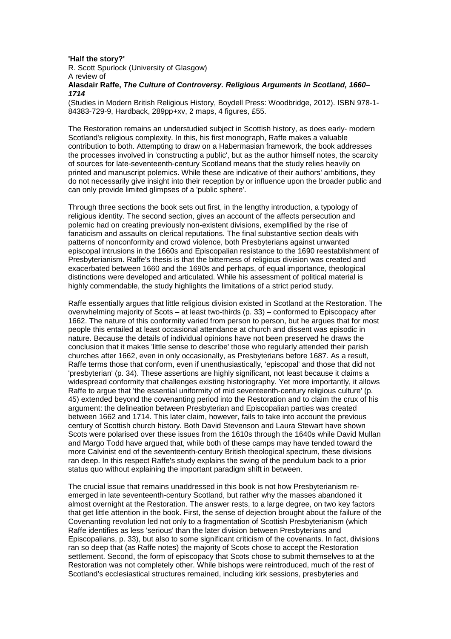## **'Half the story?'**

R. Scott Spurlock (University of Glasgow) A review of **Alasdair Raffe, The Culture of Controversy. Religious Arguments in Scotland, 1660– 1714**

(Studies in Modern British Religious History, Boydell Press: Woodbridge, 2012). ISBN 978-1- 84383-729-9, Hardback, 289pp+xv, 2 maps, 4 figures, £55.

The Restoration remains an understudied subject in Scottish history, as does early- modern Scotland's religious complexity. In this, his first monograph, Raffe makes a valuable contribution to both. Attempting to draw on a Habermasian framework, the book addresses the processes involved in 'constructing a public', but as the author himself notes, the scarcity of sources for late-seventeenth-century Scotland means that the study relies heavily on printed and manuscript polemics. While these are indicative of their authors' ambitions, they do not necessarily give insight into their reception by or influence upon the broader public and can only provide limited glimpses of a 'public sphere'.

Through three sections the book sets out first, in the lengthy introduction, a typology of religious identity. The second section, gives an account of the affects persecution and polemic had on creating previously non-existent divisions, exemplified by the rise of fanaticism and assaults on clerical reputations. The final substantive section deals with patterns of nonconformity and crowd violence, both Presbyterians against unwanted episcopal intrusions in the 1660s and Episcopalian resistance to the 1690 reestablishment of Presbyterianism. Raffe's thesis is that the bitterness of religious division was created and exacerbated between 1660 and the 1690s and perhaps, of equal importance, theological distinctions were developed and articulated. While his assessment of political material is highly commendable, the study highlights the limitations of a strict period study.

Raffe essentially argues that little religious division existed in Scotland at the Restoration. The overwhelming majority of Scots – at least two-thirds (p. 33) – conformed to Episcopacy after 1662. The nature of this conformity varied from person to person, but he argues that for most people this entailed at least occasional attendance at church and dissent was episodic in nature. Because the details of individual opinions have not been preserved he draws the conclusion that it makes 'little sense to describe' those who regularly attended their parish churches after 1662, even in only occasionally, as Presbyterians before 1687. As a result, Raffe terms those that conform, even if unenthusiastically, 'episcopal' and those that did not 'presbyterian' (p. 34). These assertions are highly significant, not least because it claims a widespread conformity that challenges existing historiography. Yet more importantly, it allows Raffe to argue that 'the essential uniformity of mid seventeenth-century religious culture' (p. 45) extended beyond the covenanting period into the Restoration and to claim the crux of his argument: the delineation between Presbyterian and Episcopalian parties was created between 1662 and 1714. This later claim, however, fails to take into account the previous century of Scottish church history. Both David Stevenson and Laura Stewart have shown Scots were polarised over these issues from the 1610s through the 1640s while David Mullan and Margo Todd have argued that, while both of these camps may have tended toward the more Calvinist end of the seventeenth-century British theological spectrum, these divisions ran deep. In this respect Raffe's study explains the swing of the pendulum back to a prior status quo without explaining the important paradigm shift in between.

The crucial issue that remains unaddressed in this book is not how Presbyterianism reemerged in late seventeenth-century Scotland, but rather why the masses abandoned it almost overnight at the Restoration. The answer rests, to a large degree, on two key factors that get little attention in the book. First, the sense of dejection brought about the failure of the Covenanting revolution led not only to a fragmentation of Scottish Presbyterianism (which Raffe identifies as less 'serious' than the later division between Presbyterians and Episcopalians, p. 33), but also to some significant criticism of the covenants. In fact, divisions ran so deep that (as Raffe notes) the majority of Scots chose to accept the Restoration settlement. Second, the form of episcopacy that Scots chose to submit themselves to at the Restoration was not completely other. While bishops were reintroduced, much of the rest of Scotland's ecclesiastical structures remained, including kirk sessions, presbyteries and